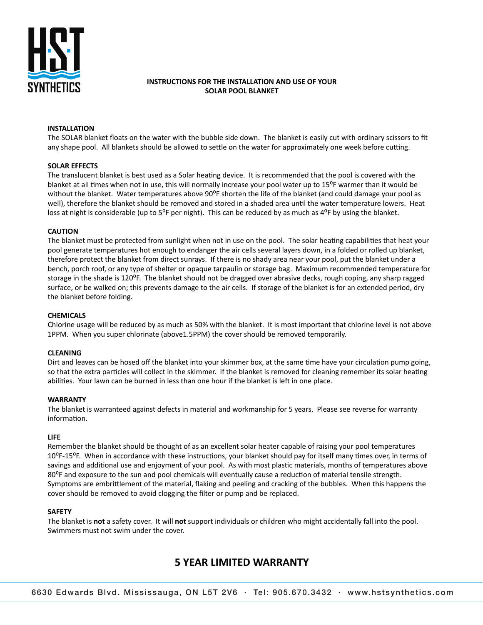

#### **INSTRUCTIONS FOR THE INSTALLATION AND USE OF YOUR SOLAR POOL BLANKET SOLAR PROPERTION A**

# **INSTALLATION**

The SOLAR blanket floats on the water with the bubble side down. The blanket is easily cut with ordinary scissors to fit any shape pool. All blankets should be allowed to settle on the water for approximately one week before cutting.  $T$ he Solar blanket floats on the bubble side down. The blanket is easily cut with ordinary science is easily cut with ordinary science is easily cut with ordinary science is easily cut with ordinary science is easily cut

# **SOLAR EFFECTS**

The translucent blanket is best used as a Solar heating device. It is recommended that the pool is covered with the blanket at all times when not in use, this will normally increase your pool water up to 15°F warmer than it would be without the blanket. Water temperatures above 90<sup>o</sup>F shorten the life of the blanket (and could damage your pool as well), therefore the blanket should be removed and stored in a shaded area until the water temperature lowers. Heat loss at night is considerable (up to 5<sup>o</sup>F per night). This can be reduced by as much as 4<sup>o</sup>F by using the blanket. The translucent blanket is best used as a Solar heaCng device. It is recommended that the pool is covered with the pool is covered with the pool is covered with the pool is covered with the pool is covered with the pool is

# **CAUTION**

The blanket must be protected from sunlight when not in use on the pool. The solar heating capabilities that heat your pool generate temperatures hot enough to endanger the air cells several layers down, in a folded or rolled up blanket, therefore protect the blanket from direct sunrays. If there is no shady area near your pool, put the blanket under a bench, porch roof, or any type of shelter or opaque tarpaulin or storage bag. Maximum recommended temperature for storage in the shade is 120<sup>o</sup>F. The blanket should not be dragged over abrasive decks, rough coping, any sharp ragged surface, or be walked on; this prevents damage to the air cells. If storage of the blanket is for an extended period, dry the blanket before folding.  $T$ hanket must be protected from sunlight when not in use on the pool. The solar heat  $\alpha$ The blanket must be protected from sunlight when not in use on the pool. The solar heating capabilities that heat you

# **CHEMICALS**

Chlorine usage will be reduced by as much as 50% with the blanket. It is most important that chlorine level is not above 1PPM. When you super chlorinate (above1.5PPM) the cover should be removed temporarily.  $CHEMICALS$ 

# **CLEANING**

Dirt and leaves can be hosed off the blanket into your skimmer box, at the same time have your circulation pump going, so that the extra particles will collect in the skimmer. If the blanket is removed for cleaning remember its solar heating abilities. Your lawn can be burned in less than one hour if the blanket is left in one place. Dirt and leaves can be hosed off the blanket into your skimmer box, at the same Cme have your circulaCon pump going,

# **WARRANTY**

The blanket is warranteed against defects in material and workmanship for 5 years. Please see reverse for warranty information.  $T$ mete $T$ s warranteed against defects in material and workmanship for  $5$  years. Please see reverse for warranty for warranty for warranty for warranty for warranty for warranty for warranty for warranty for warranty for

# **LIFE**

Remember the blanket should be thought of as an excellent solar heater capable of raising your pool temperatures 10<sup>o</sup>F-15<sup>o</sup>F. When in accordance with these instructions, your blanket should pay for itself many times over, in terms of savings and additional use and enjoyment of your pool. As with most plastic materials, months of temperatures above 80<sup>o</sup>F and exposure to the sun and pool chemicals will eventually cause a reduction of material tensile strength. Symptoms are embrittlement of the material, flaking and peeling and cracking of the bubbles. When this happens the cover should be removed to avoid clogging the filter or pump and be replaced.  $R = \frac{1}{\sqrt{2}}$  should be thought of as an excellent solar heater capable of raising  $\alpha$  raising your pool temperatures  $\alpha$ Remember the blanket should be thought of as an excellent solar heater capable of raising your pool temperatures

# **SAFETY**

The blanket is **not** a safety cover. It will **not** support individuals or children who might accidentally fall into the pool. Swimmers must not swim under the cover. The blanket is **not** a safety cover. It will **not** support individuals or children who might accidentally fall into the pool.

# **5 YEAR LIMITED WARRANTY 5 YEAR LIMITED WARRANTY**